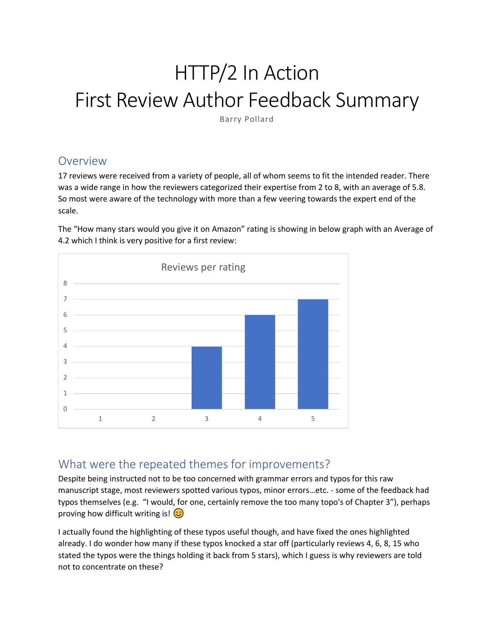# HTTP/2 In Action First Review Author Feedback Summary

Barry Pollard

## Overview

17 reviews were received from a variety of people, all of whom seems to fit the intended reader. There was a wide range in how the reviewers categorized their expertise from 2 to 8, with an average of 5.8. So most were aware of the technology with more than a few veering towards the expert end of the scale.

The "How many stars would you give it on Amazon" rating is showing in below graph with an Average of 4.2 which I think is very positive for a first review:



## What were the repeated themes for improvements?

Despite being instructed not to be too concerned with grammar errors and typos for this raw manuscript stage, most reviewers spotted various typos, minor errors…etc. - some of the feedback had typos themselves (e.g. "I would, for one, certainly remove the too many topo's of Chapter 3"), perhaps proving how difficult writing is!  $\circled{c}$ 

I actually found the highlighting of these typos useful though, and have fixed the ones highlighted already. I do wonder how many if these typos knocked a star off (particularly reviews 4, 6, 8, 15 who stated the typos were the things holding it back from 5 stars), which I guess is why reviewers are told not to concentrate on these?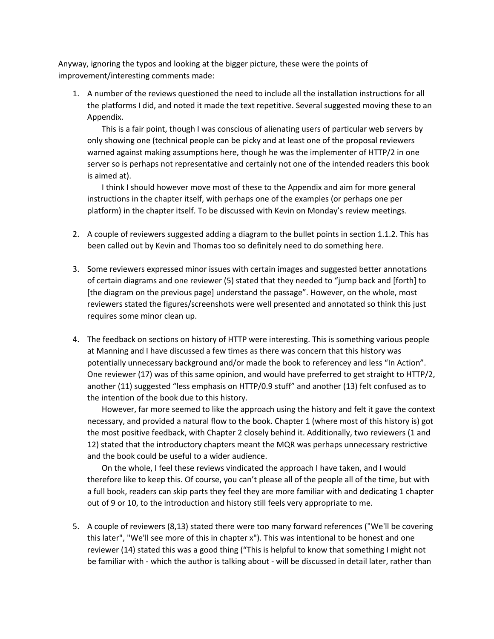Anyway, ignoring the typos and looking at the bigger picture, these were the points of improvement/interesting comments made:

1. A number of the reviews questioned the need to include all the installation instructions for all the platforms I did, and noted it made the text repetitive. Several suggested moving these to an Appendix.

This is a fair point, though I was conscious of alienating users of particular web servers by only showing one (technical people can be picky and at least one of the proposal reviewers warned against making assumptions here, though he was the implementer of HTTP/2 in one server so is perhaps not representative and certainly not one of the intended readers this book is aimed at).

I think I should however move most of these to the Appendix and aim for more general instructions in the chapter itself, with perhaps one of the examples (or perhaps one per platform) in the chapter itself. To be discussed with Kevin on Monday's review meetings.

- 2. A couple of reviewers suggested adding a diagram to the bullet points in section 1.1.2. This has been called out by Kevin and Thomas too so definitely need to do something here.
- 3. Some reviewers expressed minor issues with certain images and suggested better annotations of certain diagrams and one reviewer (5) stated that they needed to "jump back and [forth] to [the diagram on the previous page] understand the passage". However, on the whole, most reviewers stated the figures/screenshots were well presented and annotated so think this just requires some minor clean up.
- 4. The feedback on sections on history of HTTP were interesting. This is something various people at Manning and I have discussed a few times as there was concern that this history was potentially unnecessary background and/or made the book to referencey and less "In Action". One reviewer (17) was of this same opinion, and would have preferred to get straight to HTTP/2, another (11) suggested "less emphasis on HTTP/0.9 stuff" and another (13) felt confused as to the intention of the book due to this history.

However, far more seemed to like the approach using the history and felt it gave the context necessary, and provided a natural flow to the book. Chapter 1 (where most of this history is) got the most positive feedback, with Chapter 2 closely behind it. Additionally, two reviewers (1 and 12) stated that the introductory chapters meant the MQR was perhaps unnecessary restrictive and the book could be useful to a wider audience.

On the whole, I feel these reviews vindicated the approach I have taken, and I would therefore like to keep this. Of course, you can't please all of the people all of the time, but with a full book, readers can skip parts they feel they are more familiar with and dedicating 1 chapter out of 9 or 10, to the introduction and history still feels very appropriate to me.

5. A couple of reviewers (8,13) stated there were too many forward references ("We'll be covering this later", "We'll see more of this in chapter x"). This was intentional to be honest and one reviewer (14) stated this was a good thing ("This is helpful to know that something I might not be familiar with - which the author is talking about - will be discussed in detail later, rather than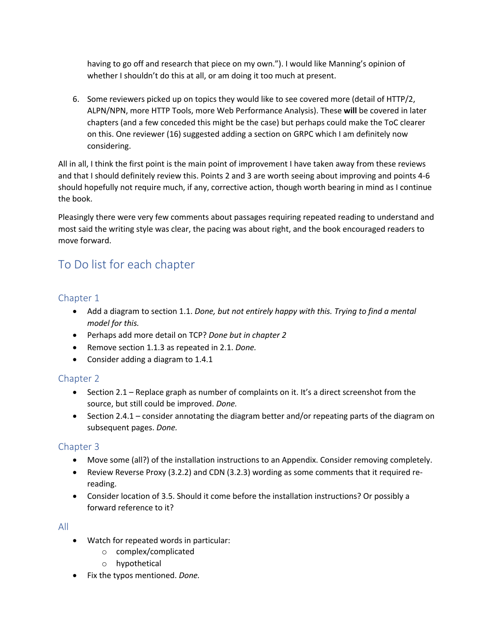having to go off and research that piece on my own."). I would like Manning's opinion of whether I shouldn't do this at all, or am doing it too much at present.

6. Some reviewers picked up on topics they would like to see covered more (detail of HTTP/2, ALPN/NPN, more HTTP Tools, more Web Performance Analysis). These **will** be covered in later chapters (and a few conceded this might be the case) but perhaps could make the ToC clearer on this. One reviewer (16) suggested adding a section on GRPC which I am definitely now considering.

All in all, I think the first point is the main point of improvement I have taken away from these reviews and that I should definitely review this. Points 2 and 3 are worth seeing about improving and points 4-6 should hopefully not require much, if any, corrective action, though worth bearing in mind as I continue the book.

Pleasingly there were very few comments about passages requiring repeated reading to understand and most said the writing style was clear, the pacing was about right, and the book encouraged readers to move forward.

# To Do list for each chapter

#### Chapter 1

- Add a diagram to section 1.1. *Done, but not entirely happy with this. Trying to find a mental model for this.*
- Perhaps add more detail on TCP? *Done but in chapter 2*
- Remove section 1.1.3 as repeated in 2.1. *Done.*
- Consider adding a diagram to 1.4.1

#### Chapter 2

- Section 2.1 Replace graph as number of complaints on it. It's a direct screenshot from the source, but still could be improved. *Done.*
- Section 2.4.1 consider annotating the diagram better and/or repeating parts of the diagram on subsequent pages. *Done.*

#### Chapter 3

- Move some (all?) of the installation instructions to an Appendix. Consider removing completely.
- Review Reverse Proxy (3.2.2) and CDN (3.2.3) wording as some comments that it required rereading.
- Consider location of 3.5. Should it come before the installation instructions? Or possibly a forward reference to it?

#### All

- Watch for repeated words in particular:
	- o complex/complicated
	- o hypothetical
- Fix the typos mentioned. *Done.*